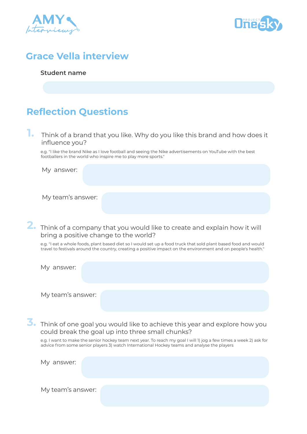



#### **Grace Vella interview**

#### **Student name**

#### **Reflection Questions**

**1.** Think of a brand that you like. Why do you like this brand and how does it influence you?

e.g. "I like the brand Nike as I love football and seeing the Nike advertisements on YouTube with the best footballers in the world who inspire me to play more sports."

My answer:

My team's answer:

#### **2.** Think of a company that you would like to create and explain how it will bring a positive change to the world?

e.g. "I eat a whole foods, plant based diet so I would set up a food truck that sold plant based food and would travel to festivals around the country, creating a positive impact on the environment and on people's health."

| My answer:        |  |
|-------------------|--|
|                   |  |
| My team's answer: |  |

**3.** Think of one goal you would like to achieve this year and explore how you could break the goal up into three small chunks?

e.g. I want to make the senior hockey team next year. To reach my goal I will 1) jog a few times a week 2) ask for advice from some senior players 3) watch International Hockey teams and analyse the players

| My answer:        |  |  |
|-------------------|--|--|
|                   |  |  |
| My team's answer: |  |  |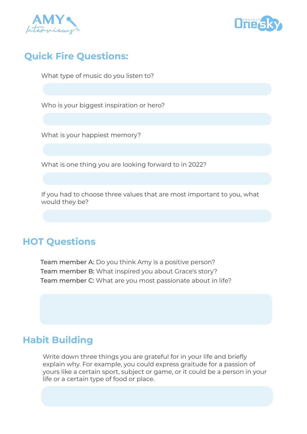



## **Quick Fire Questions:**

What type of music do you listen to?

Who is your biggest inspiration or hero?

What is your happiest memory?

What is one thing you are looking forward to in 2022?

If you had to choose three values that are most important to you, what would they be?

## **HOT Questions**

Team member A: Do you think Amy is a positive person? Team member B: What inspired you about Grace's story? Team member C: What are you most passionate about in life?

## **Habit Building**

Write down three things you are grateful for in your life and briefly explain why. For example, you could express graitude for a passion of yours like a certain sport, subject or game, or it could be a person in your life or a certain type of food or place.